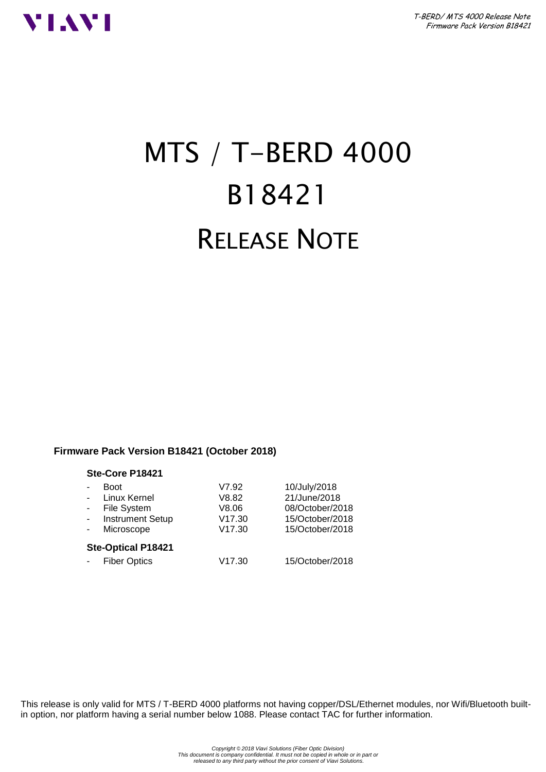

# MTS / T-BERD 4000 B18421 RELEASE NOTE

#### **Firmware Pack Version B18421 (October 2018)**

#### **Ste-Core P18421**

|                           | <b>Boot</b>             | V7.92  | 10/July/2018    |  |
|---------------------------|-------------------------|--------|-----------------|--|
|                           | Linux Kernel            | V8.82  | 21/June/2018    |  |
|                           | File System             | V8.06  | 08/October/2018 |  |
|                           | <b>Instrument Setup</b> | V17.30 | 15/October/2018 |  |
|                           | Microscope              | V17.30 | 15/October/2018 |  |
| <b>Ste-Optical P18421</b> |                         |        |                 |  |
|                           | <b>Fiber Optics</b>     | V17.30 | 15/October/2018 |  |
|                           |                         |        |                 |  |

This release is only valid for MTS / T-BERD 4000 platforms not having copper/DSL/Ethernet modules, nor Wifi/Bluetooth builtin option, nor platform having a serial number below 1088. Please contact TAC for further information.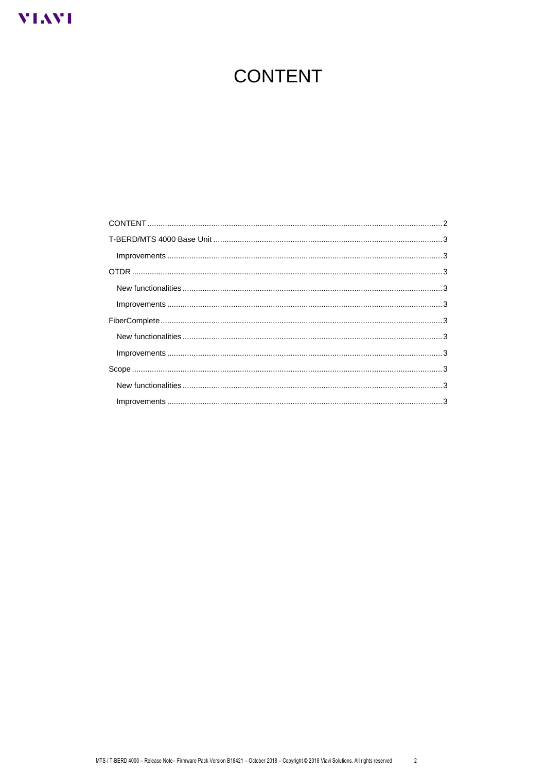### <span id="page-1-0"></span>**VIAVI**

## **CONTENT**